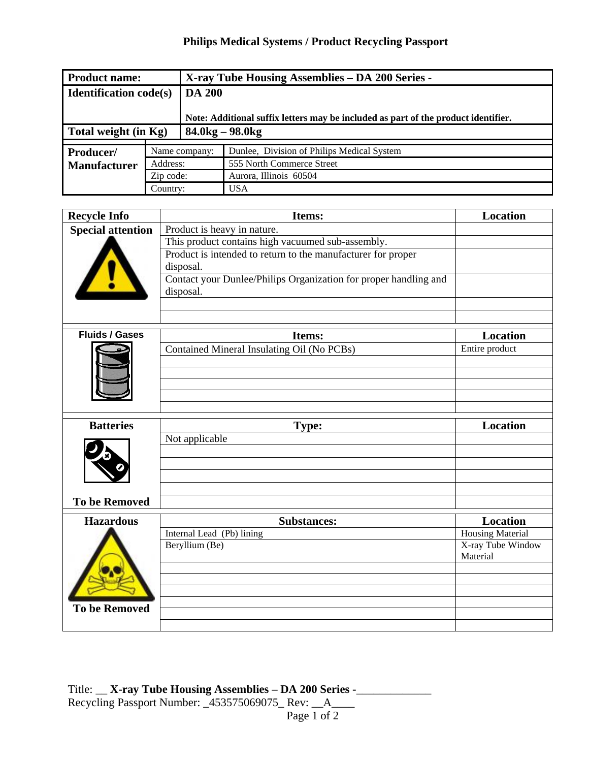## **Philips Medical Systems / Product Recycling Passport**

| <b>Product name:</b>          |               |                                                                                    | X-ray Tube Housing Assemblies – DA 200 Series - |  |
|-------------------------------|---------------|------------------------------------------------------------------------------------|-------------------------------------------------|--|
| <b>Identification code(s)</b> |               | <b>DA 200</b>                                                                      |                                                 |  |
|                               |               | Note: Additional suffix letters may be included as part of the product identifier. |                                                 |  |
| Total weight (in Kg)          |               |                                                                                    | $84.0$ kg – 98.0kg                              |  |
|                               | Name company: |                                                                                    | Dunlee, Division of Philips Medical System      |  |
| Producer/                     |               |                                                                                    |                                                 |  |
| <b>Manufacturer</b>           | Address:      |                                                                                    | 555 North Commerce Street                       |  |
|                               | Zip code:     |                                                                                    | Aurora, Illinois 60504                          |  |
|                               | Country:      |                                                                                    | <b>USA</b>                                      |  |

| <b>Recycle Info</b>      | Items:                                                                        | <b>Location</b>                                          |
|--------------------------|-------------------------------------------------------------------------------|----------------------------------------------------------|
| <b>Special attention</b> | Product is heavy in nature.                                                   |                                                          |
|                          | This product contains high vacuumed sub-assembly.                             |                                                          |
|                          | Product is intended to return to the manufacturer for proper                  |                                                          |
|                          | disposal.                                                                     |                                                          |
|                          | Contact your Dunlee/Philips Organization for proper handling and<br>disposal. |                                                          |
|                          |                                                                               |                                                          |
| <b>Fluids / Gases</b>    | Items:                                                                        | <b>Location</b>                                          |
|                          | Contained Mineral Insulating Oil (No PCBs)                                    | Entire product                                           |
|                          |                                                                               |                                                          |
|                          |                                                                               |                                                          |
|                          |                                                                               |                                                          |
|                          |                                                                               |                                                          |
|                          |                                                                               |                                                          |
|                          |                                                                               |                                                          |
|                          |                                                                               |                                                          |
|                          |                                                                               |                                                          |
|                          |                                                                               |                                                          |
|                          |                                                                               |                                                          |
| <b>To be Removed</b>     |                                                                               |                                                          |
| <b>Hazardous</b>         | <b>Substances:</b>                                                            | Location                                                 |
|                          | Internal Lead (Pb) lining                                                     |                                                          |
|                          |                                                                               | Material                                                 |
|                          |                                                                               |                                                          |
|                          |                                                                               |                                                          |
|                          |                                                                               |                                                          |
| <b>To be Removed</b>     |                                                                               |                                                          |
|                          |                                                                               |                                                          |
| <b>Batteries</b>         | <b>Type:</b><br>Not applicable<br>Beryllium (Be)                              | <b>Location</b><br>Housing Material<br>X-ray Tube Window |